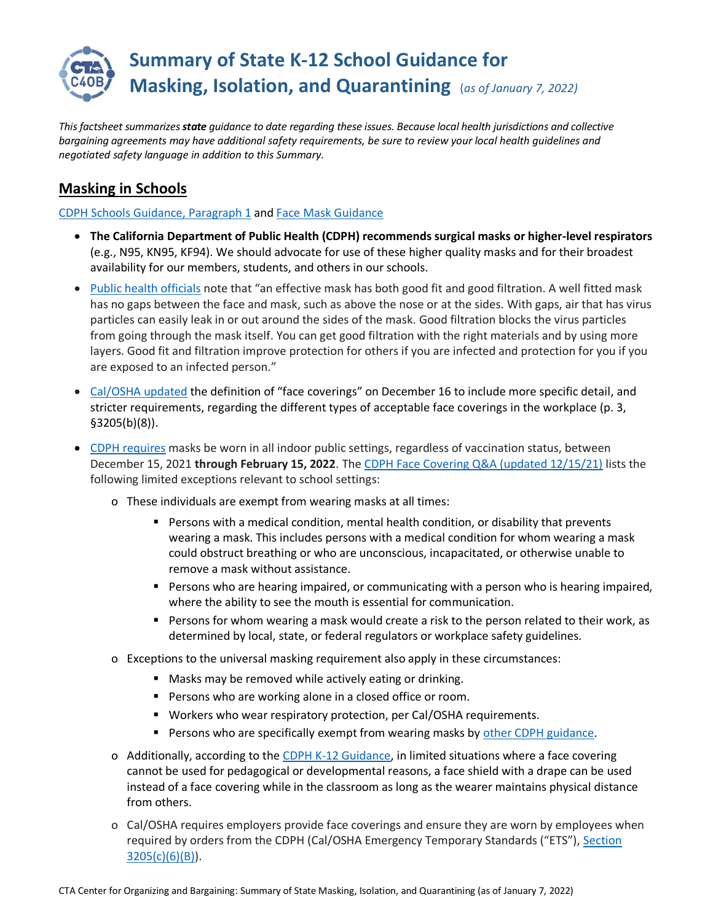

*This factsheet summarizes state guidance to date regarding these issues. Because local health jurisdictions and collective bargaining agreements may have additional safety requirements, be sure to review your local health guidelines and negotiated safety language in addition to this Summary.* 

#### **Masking in Schools**

[CDPH Schools Guidance, Paragraph 1](https://www.cdph.ca.gov/Programs/CID/DCDC/Pages/COVID-19/K-12-Guidance-2021-22-School-Year.aspx) and [Face Mask Guidance](https://www.cdph.ca.gov/Programs/CID/DCDC/Pages/COVID-19/guidance-for-face-coverings.aspx)

- **The California Department of Public Health (CDPH) recommends surgical masks or higher-level respirators** (e.g., N95, KN95, KF94). We should advocate for use of these higher quality masks and for their broadest availability for our members, students, and others in our schools.
- [Public health officials](https://www.cdph.ca.gov/Programs/CID/DCDC/Pages/COVID-19/Get-the-Most-out-of-Masking.aspx) note that "an effective mask has both good fit and good filtration. A well fitted mask has no gaps between the face and mask, such as above the nose or at the sides. With gaps, air that has virus particles can easily leak in or out around the sides of the mask. Good filtration blocks the virus particles from going through the mask itself. You can get good filtration with the right materials and by using more layers. Good fit and filtration improve protection for others if you are infected and protection for you if you are exposed to an infected person."
- [Cal/OSHA updated](https://www.dir.ca.gov/oshsb/documents/Dec162021-COVID-19-Prevention-Emergency-txtcourtesy-2nd-Readoption.pdf) the definition of "face coverings" on December 16 to include more specific detail, and stricter requirements, regarding the different types of acceptable face coverings in the workplace (p. 3, §3205(b)(8)).
- [CDPH requires](https://www.cdph.ca.gov/Programs/CID/DCDC/Pages/COVID-19/guidance-for-face-coverings.aspx) masks be worn in all indoor public settings, regardless of vaccination status, between December 15, 2021 **through February 15, 2022**. The [CDPH Face Covering Q&A \(updated 12/15/21\)](https://www.cdph.ca.gov/Programs/CID/DCDC/Pages/COVID-19/Face-Coverings-QA.aspx) lists the following limited exceptions relevant to school settings:
	- o These individuals are exempt from wearing masks at all times:
		- Persons with a medical condition, mental health condition, or disability that prevents wearing a mask. This includes persons with a medical condition for whom wearing a mask could obstruct breathing or who are unconscious, incapacitated, or otherwise unable to remove a mask without assistance.
		- Persons who are hearing impaired, or communicating with a person who is hearing impaired, where the ability to see the mouth is essential for communication.
		- Persons for whom wearing a mask would create a risk to the person related to their work, as determined by local, state, or federal regulators or workplace safety guidelines.
	- o Exceptions to the universal masking requirement also apply in these circumstances:
		- Masks may be removed while actively eating or drinking.
		- Persons who are working alone in a closed office or room.
		- Workers who wear respiratory protection, per Cal/OSHA requirements.
		- **Persons who are specifically exempt from wearing masks by [other CDPH guidance.](https://www.cdph.ca.gov/Programs/CID/DCDC/Pages/COVID-19/guidance-for-face-coverings.aspx)**
	- o Additionally, according to the [CDPH K-12 Guidance,](https://www.cdph.ca.gov/Programs/CID/DCDC/Pages/COVID-19/K-12-Guidance-2021-22-School-Year.aspx) in limited situations where a face covering cannot be used for pedagogical or developmental reasons, a face shield with a drape can be used instead of a face covering while in the classroom as long as the wearer maintains physical distance from others.
	- o Cal/OSHA requires employers provide face coverings and ensure they are worn by employees when required by orders from the CDPH (Cal/OSHA Emergency Temporary Standards ("ETS"), [Section](https://www.dir.ca.gov/title8/3205.html)   $3205(c)(6)(B)$ .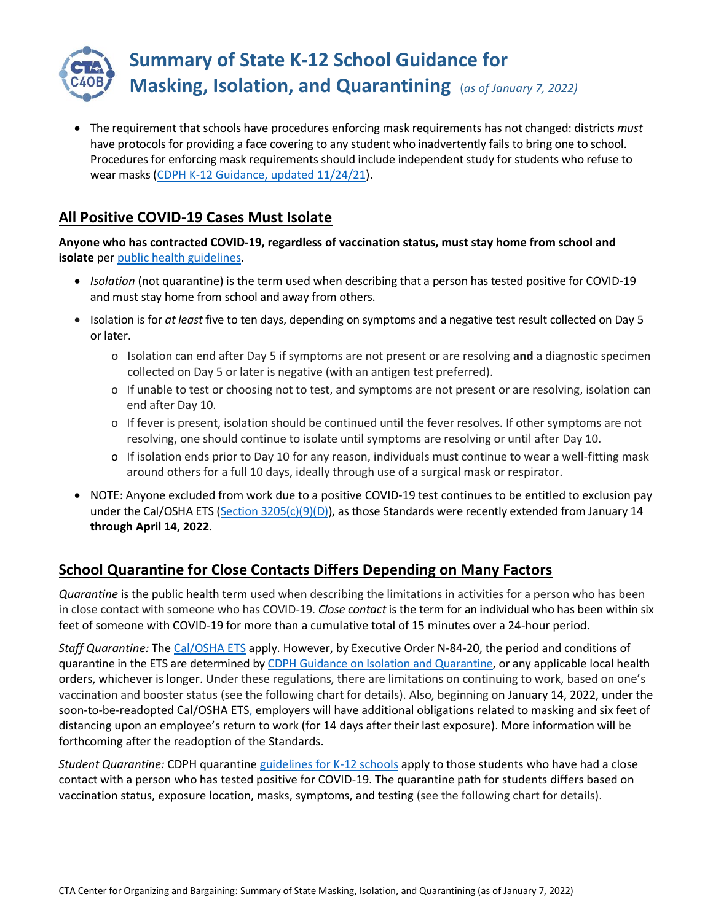

• The requirement that schools have procedures enforcing [mask requirements](https://www.cdph.ca.gov/Programs/CID/DCDC/Pages/COVID-19/Requirement-for-Universal-Masking-Indoors-at-K-12-Schools.aspx) has not changed: districts *must* have protocols for providing a face covering to any student who inadvertently fails to bring one to school. Procedures for enforcing mask requirements should include independent study for students who refuse to wear masks [\(CDPH K-12 Guidance, updated 11/24/21\)](https://www.cdph.ca.gov/Programs/CID/DCDC/Pages/COVID-19/K-12-Guidance-2021-22-School-Year.aspx).

### **All Positive COVID-19 Cases Must Isolate**

**Anyone who has contracted COVID-19, regardless of vaccination status, must stay home from school and isolate** per public [health guidelines.](https://www.cdph.ca.gov/Programs/CID/DCDC/Pages/COVID-19/Guidance-on-Isolation-and-Quarantine-for-COVID-19-Contact-Tracing.aspx)

- *Isolation* (not quarantine) is the term used when describing that a person has tested positive for COVID-19 and must stay home from school and away from others.
- Isolation is for *at least* five to ten days, depending on symptoms and a negative test result collected on Day 5 or later.
	- o Isolation can end after Day 5 if symptoms are not present or are resolving **and** a diagnostic specimen collected on Day 5 or later is negative (with an antigen test preferred).
	- o If unable to test or choosing not to test, and symptoms are not present or are resolving, isolation can end after Day 10.
	- o If fever is present, isolation should be continued until the fever resolves. If other symptoms are not resolving, one should continue to isolate until symptoms are resolving or until after Day 10.
	- o If isolation ends prior to Day 10 for any reason, individuals must continue to wear a well-fitting mask around others for a full 10 days, ideally through use of a surgical mask or respirator.
- NOTE: Anyone excluded from work due to a positive COVID-19 test continues to be entitled to exclusion pay under the Cal/OSHA ETS [\(Section 3205\(c\)\(9\)\(D\)\)](https://www.dir.ca.gov/title8/3205.html), as those Standards were recently extended from January 14 **through April 14, 2022**.

### **School Quarantine for Close Contacts Differs Depending on Many Factors**

*Quarantine* is the public health term used when describing the limitations in activities for a person who has been in close contact with someone who has COVID-19. *Close contact* is the term for an individual who has been within six feet of someone with COVID-19 for more than a cumulative total of 15 minutes over a 24-hour period.

*Staff Quarantine:* The [Cal/OSHA ETS](https://www.dir.ca.gov/oshsb/documents/Jun172021-COVID-19-Prevention-Emergency-apprvdtxt-Readoption.pdf) apply. However, by Executive Order N-84-20, the period and conditions of quarantine in the ETS are determined by CDPH Guidance [on Isolation and](https://www.cdph.ca.gov/Programs/CID/DCDC/Pages/COVID-19/Guidance-on-Isolation-and-Quarantine-for-COVID-19-Contact-Tracing.aspx) Quarantine, or any applicable local health orders, whichever is longer. Under these regulations, there are limitations on continuing to work, based on one's vaccination and booster status (see the following chart for details). Also, beginning on January 14, 2022, under the soon-to-be-readopted Cal/OSHA ETS, employers will have additional obligations related to masking and six feet of distancing upon an employee's return to work (for 14 days after their last exposure). More information will be forthcoming after the readoption of the Standards.

*Student Quarantine:* CDPH quarantine [guidelines for K-12 schools](https://www.cdph.ca.gov/Programs/CID/DCDC/Pages/COVID-19/K-12-Guidance-2021-22-School-Year.aspx) apply to those students who have had a close contact with a person who has tested positive for COVID-19. The quarantine path for students differs based on vaccination status, exposure location, masks, symptoms, and testing (see the following chart for details).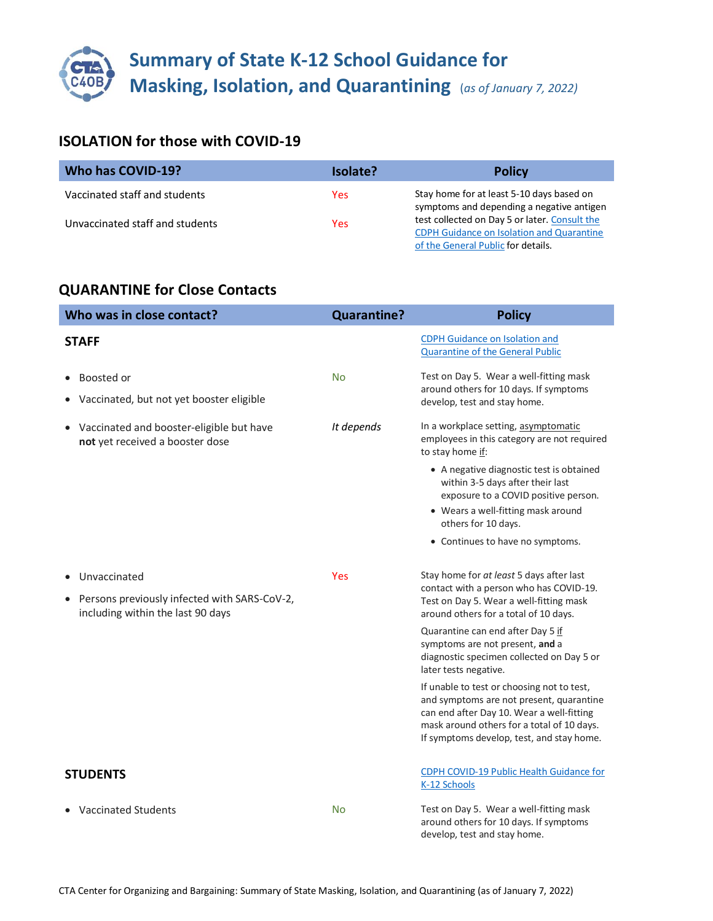# **Summary of State K-12 School Guidance for Masking, Isolation, and Quarantining** (as of January 7, 2022)

### **ISOLATION for those with COVID-19**

| Who has COVID-19?               | Isolate?   | <b>Policy</b>                                                                                                                           |
|---------------------------------|------------|-----------------------------------------------------------------------------------------------------------------------------------------|
| Vaccinated staff and students   | Yes.       | Stay home for at least 5-10 days based on<br>symptoms and depending a negative antigen                                                  |
| Unvaccinated staff and students | <b>Yes</b> | test collected on Day 5 or later. Consult the<br><b>CDPH Guidance on Isolation and Quarantine</b><br>of the General Public for details. |

### **QUARANTINE for Close Contacts**

| Who was in close contact?                                                                                                   | <b>Quarantine?</b> | <b>Policy</b>                                                                                                                                                                                                                  |
|-----------------------------------------------------------------------------------------------------------------------------|--------------------|--------------------------------------------------------------------------------------------------------------------------------------------------------------------------------------------------------------------------------|
| <b>STAFF</b>                                                                                                                |                    | <b>CDPH Guidance on Isolation and</b><br><b>Quarantine of the General Public</b>                                                                                                                                               |
| Boosted or<br>Vaccinated, but not yet booster eligible                                                                      | <b>No</b>          | Test on Day 5. Wear a well-fitting mask<br>around others for 10 days. If symptoms<br>develop, test and stay home.                                                                                                              |
| Vaccinated and booster-eligible but have<br>not yet received a booster dose                                                 | It depends         | In a workplace setting, asymptomatic<br>employees in this category are not required<br>to stay home if:                                                                                                                        |
|                                                                                                                             |                    | • A negative diagnostic test is obtained<br>within 3-5 days after their last<br>exposure to a COVID positive person.<br>• Wears a well-fitting mask around                                                                     |
|                                                                                                                             |                    | others for 10 days.<br>• Continues to have no symptoms.                                                                                                                                                                        |
| Unvaccinated<br>$\bullet$<br>Persons previously infected with SARS-CoV-2,<br>$\bullet$<br>including within the last 90 days | Yes                | Stay home for at least 5 days after last<br>contact with a person who has COVID-19.<br>Test on Day 5. Wear a well-fitting mask<br>around others for a total of 10 days.                                                        |
|                                                                                                                             |                    | Quarantine can end after Day 5 if<br>symptoms are not present, and a<br>diagnostic specimen collected on Day 5 or<br>later tests negative.                                                                                     |
|                                                                                                                             |                    | If unable to test or choosing not to test,<br>and symptoms are not present, quarantine<br>can end after Day 10. Wear a well-fitting<br>mask around others for a total of 10 days.<br>If symptoms develop, test, and stay home. |
| <b>STUDENTS</b>                                                                                                             |                    | CDPH COVID-19 Public Health Guidance for<br>K-12 Schools                                                                                                                                                                       |
| <b>Vaccinated Students</b>                                                                                                  | No                 | Test on Day 5. Wear a well-fitting mask<br>around others for 10 days. If symptoms<br>develop, test and stay home.                                                                                                              |